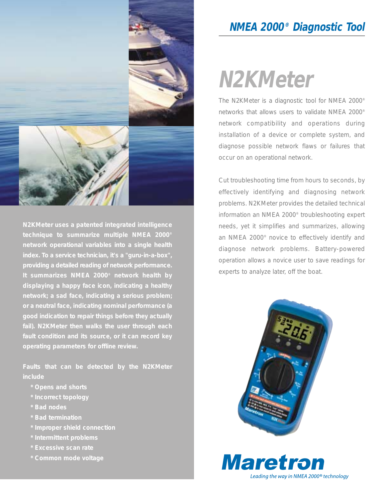

**N2KMeter uses a patented integrated intelligence technique to summarize multiple NMEA 2000® network operational variables into a single health index. To a service technician, it's a "guru-in-a-box", providing a detailed reading of network performance. It summarizes NMEA 2000® network health by displaying a happy face icon, indicating a healthy network; a sad face, indicating a serious problem; or a neutral face, indicating nominal performance (a good indication to repair things before they actually fail). N2KMeter then walks the user through each fault condition and its source, or it can record key operating parameters for offline review.** 

**Faults that can be detected by the N2KMeter include**

- **\* Opens and shorts**
- **\* Incorrect topology**
- **\* Bad nodes**
- **\* Bad termination**
- **\* Improper shield connection**
- **\* Intermittent problems**
- 
- **\* Common mode voltage**

### **NMEA 2000® Diagnostic Tool**

# **N2KMeter**

The N2KMeter is a diagnostic tool for NMEA 2000® networks that allows users to validate NMEA 2000® network compatibility and operations during installation of a device or complete system, and diagnose possible network flaws or failures that occur on an operational network.

Cut troubleshooting time from hours to seconds, by effectively identifying and diagnosing network problems. N2KMeter provides the detailed technical information an NMEA 2000® troubleshooting expert needs, yet it simplifies and summarizes, allowing an NMEA 2000® novice to effectively identify and diagnose network problems. Battery-powered operation allows a novice user to save readings for experts to analyze later, off the boat.



**Maretron** Leading the way in NMEA 2000<sup>®</sup> technology